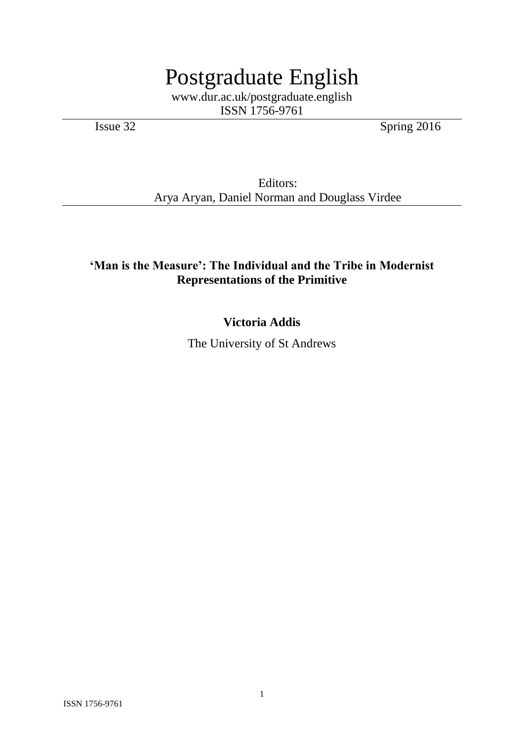# Postgraduate English

www.dur.ac.uk/postgraduate.english ISSN 1756-9761

Issue 32 Spring 2016

Editors: Arya Aryan, Daniel Norman and Douglass Virdee

## **'Man is the Measure': The Individual and the Tribe in Modernist Representations of the Primitive**

## **Victoria Addis**

The University of St Andrews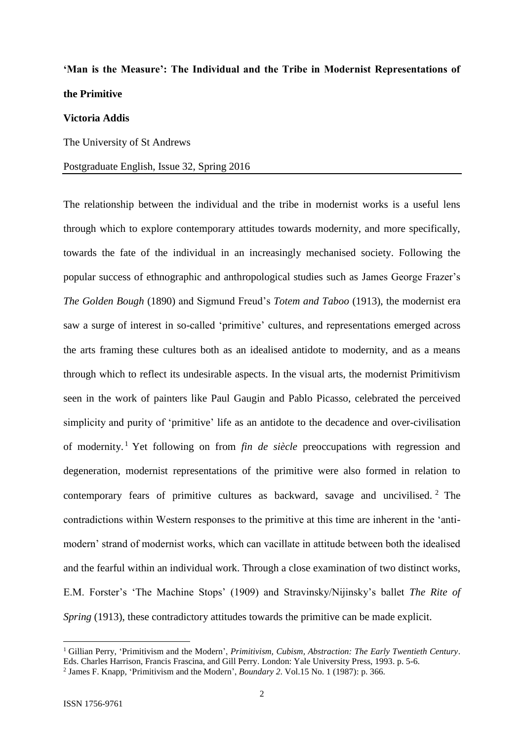# **'Man is the Measure': The Individual and the Tribe in Modernist Representations of the Primitive**

### **Victoria Addis**

The University of St Andrews

### Postgraduate English, Issue 32, Spring 2016

The relationship between the individual and the tribe in modernist works is a useful lens through which to explore contemporary attitudes towards modernity, and more specifically, towards the fate of the individual in an increasingly mechanised society. Following the popular success of ethnographic and anthropological studies such as James George Frazer's *The Golden Bough* (1890) and Sigmund Freud's *Totem and Taboo* (1913), the modernist era saw a surge of interest in so-called 'primitive' cultures, and representations emerged across the arts framing these cultures both as an idealised antidote to modernity, and as a means through which to reflect its undesirable aspects. In the visual arts, the modernist Primitivism seen in the work of painters like Paul Gaugin and Pablo Picasso, celebrated the perceived simplicity and purity of 'primitive' life as an antidote to the decadence and over-civilisation of modernity. <sup>1</sup> Yet following on from *fin de siècle* preoccupations with regression and degeneration, modernist representations of the primitive were also formed in relation to contemporary fears of primitive cultures as backward, savage and uncivilised. <sup>2</sup> The contradictions within Western responses to the primitive at this time are inherent in the 'antimodern' strand of modernist works, which can vacillate in attitude between both the idealised and the fearful within an individual work. Through a close examination of two distinct works, E.M. Forster's 'The Machine Stops' (1909) and Stravinsky/Nijinsky's ballet *The Rite of Spring* (1913), these contradictory attitudes towards the primitive can be made explicit.

<sup>1</sup> Gillian Perry, 'Primitivism and the Modern', *Primitivism, Cubism, Abstraction: The Early Twentieth Century*. Eds. Charles Harrison, Francis Frascina, and Gill Perry. London: Yale University Press, 1993. p. 5-6. 2 James F. Knapp, 'Primitivism and the Modern', *Boundary 2*. Vol.15 No. 1 (1987): p. 366.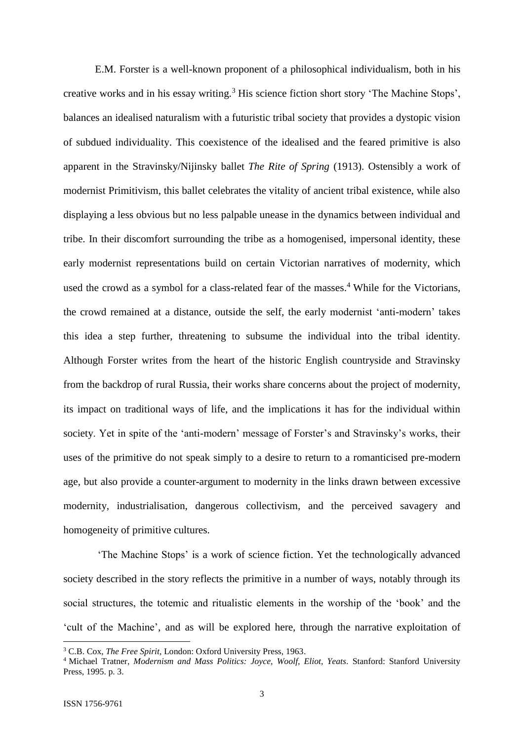E.M. Forster is a well-known proponent of a philosophical individualism, both in his creative works and in his essay writing.<sup>3</sup> His science fiction short story 'The Machine Stops', balances an idealised naturalism with a futuristic tribal society that provides a dystopic vision of subdued individuality. This coexistence of the idealised and the feared primitive is also apparent in the Stravinsky/Nijinsky ballet *The Rite of Spring* (1913). Ostensibly a work of modernist Primitivism, this ballet celebrates the vitality of ancient tribal existence, while also displaying a less obvious but no less palpable unease in the dynamics between individual and tribe. In their discomfort surrounding the tribe as a homogenised, impersonal identity, these early modernist representations build on certain Victorian narratives of modernity, which used the crowd as a symbol for a class-related fear of the masses. <sup>4</sup> While for the Victorians, the crowd remained at a distance, outside the self, the early modernist 'anti-modern' takes this idea a step further, threatening to subsume the individual into the tribal identity. Although Forster writes from the heart of the historic English countryside and Stravinsky from the backdrop of rural Russia, their works share concerns about the project of modernity, its impact on traditional ways of life, and the implications it has for the individual within society. Yet in spite of the 'anti-modern' message of Forster's and Stravinsky's works, their uses of the primitive do not speak simply to a desire to return to a romanticised pre-modern age, but also provide a counter-argument to modernity in the links drawn between excessive modernity, industrialisation, dangerous collectivism, and the perceived savagery and homogeneity of primitive cultures.

'The Machine Stops' is a work of science fiction. Yet the technologically advanced society described in the story reflects the primitive in a number of ways, notably through its social structures, the totemic and ritualistic elements in the worship of the 'book' and the 'cult of the Machine', and as will be explored here, through the narrative exploitation of

<sup>3</sup> C.B. Cox, *The Free Spirit*, London: Oxford University Press, 1963.

<sup>4</sup> Michael Tratner, *Modernism and Mass Politics: Joyce, Woolf, Eliot, Yeats*. Stanford: Stanford University Press, 1995. p. 3.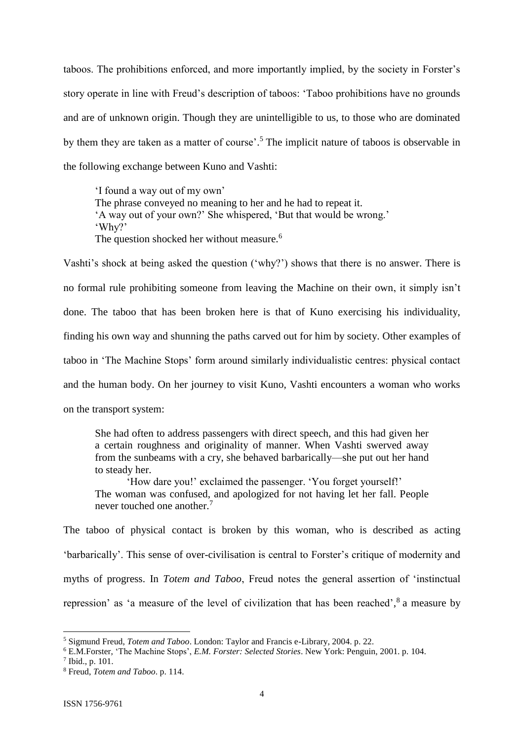taboos. The prohibitions enforced, and more importantly implied, by the society in Forster's story operate in line with Freud's description of taboos: 'Taboo prohibitions have no grounds and are of unknown origin. Though they are unintelligible to us, to those who are dominated by them they are taken as a matter of course'. <sup>5</sup> The implicit nature of taboos is observable in the following exchange between Kuno and Vashti:

'I found a way out of my own' The phrase conveyed no meaning to her and he had to repeat it. 'A way out of your own?' She whispered, 'But that would be wrong.' 'Why?' The question shocked her without measure.<sup>6</sup>

Vashti's shock at being asked the question ('why?') shows that there is no answer. There is no formal rule prohibiting someone from leaving the Machine on their own, it simply isn't done. The taboo that has been broken here is that of Kuno exercising his individuality, finding his own way and shunning the paths carved out for him by society. Other examples of taboo in 'The Machine Stops' form around similarly individualistic centres: physical contact and the human body. On her journey to visit Kuno, Vashti encounters a woman who works on the transport system:

She had often to address passengers with direct speech, and this had given her a certain roughness and originality of manner. When Vashti swerved away from the sunbeams with a cry, she behaved barbarically—she put out her hand to steady her.

'How dare you!' exclaimed the passenger. 'You forget yourself!' The woman was confused, and apologized for not having let her fall. People never touched one another.<sup>7</sup>

The taboo of physical contact is broken by this woman, who is described as acting 'barbarically'. This sense of over-civilisation is central to Forster's critique of modernity and myths of progress. In *Totem and Taboo*, Freud notes the general assertion of 'instinctual repression' as 'a measure of the level of civilization that has been reached',<sup>8</sup> a measure by

<sup>5</sup> Sigmund Freud, *Totem and Taboo*. London: Taylor and Francis e-Library, 2004. p. 22.

<sup>6</sup> E.M.Forster, 'The Machine Stops', *E.M. Forster: Selected Stories*. New York: Penguin, 2001. p. 104.

 $^7$  Ibid., p. 101.

<sup>8</sup> Freud, *Totem and Taboo*. p. 114.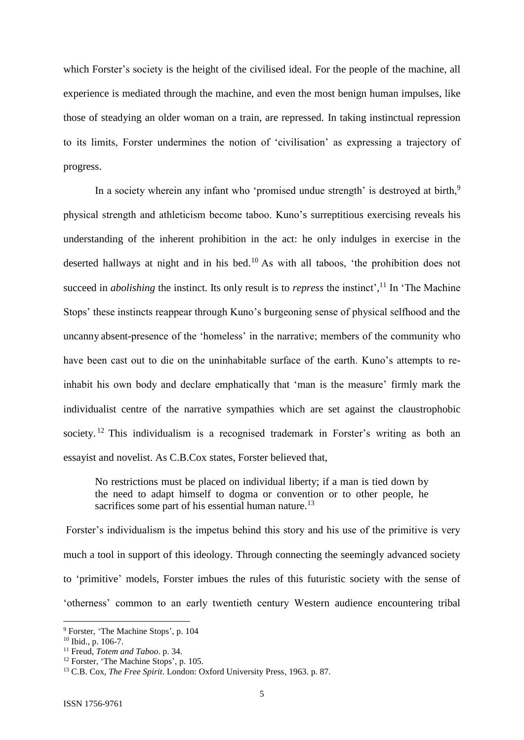which Forster's society is the height of the civilised ideal. For the people of the machine, all experience is mediated through the machine, and even the most benign human impulses, like those of steadying an older woman on a train, are repressed. In taking instinctual repression to its limits, Forster undermines the notion of 'civilisation' as expressing a trajectory of progress.

In a society wherein any infant who 'promised undue strength' is destroyed at birth,<sup>9</sup> physical strength and athleticism become taboo. Kuno's surreptitious exercising reveals his understanding of the inherent prohibition in the act: he only indulges in exercise in the deserted hallways at night and in his bed. <sup>10</sup> As with all taboos, 'the prohibition does not succeed in *abolishing* the instinct. Its only result is to *repress* the instinct',<sup>11</sup> In 'The Machine' Stops' these instincts reappear through Kuno's burgeoning sense of physical selfhood and the uncanny absent-presence of the 'homeless' in the narrative; members of the community who have been cast out to die on the uninhabitable surface of the earth. Kuno's attempts to reinhabit his own body and declare emphatically that 'man is the measure' firmly mark the individualist centre of the narrative sympathies which are set against the claustrophobic society. <sup>12</sup> This individualism is a recognised trademark in Forster's writing as both an essayist and novelist. As C.B.Cox states, Forster believed that,

No restrictions must be placed on individual liberty; if a man is tied down by the need to adapt himself to dogma or convention or to other people, he sacrifices some part of his essential human nature.<sup>13</sup>

Forster's individualism is the impetus behind this story and his use of the primitive is very much a tool in support of this ideology. Through connecting the seemingly advanced society to 'primitive' models, Forster imbues the rules of this futuristic society with the sense of 'otherness' common to an early twentieth century Western audience encountering tribal

<sup>9</sup> Forster, 'The Machine Stops', p. 104

<sup>10</sup> Ibid., p. 106-7.

<sup>11</sup> Freud, *Totem and Taboo*. p. 34.

<sup>&</sup>lt;sup>12</sup> Forster, 'The Machine Stops', p. 105.

<sup>13</sup> C.B. Cox, *The Free Spirit*. London: Oxford University Press, 1963. p. 87.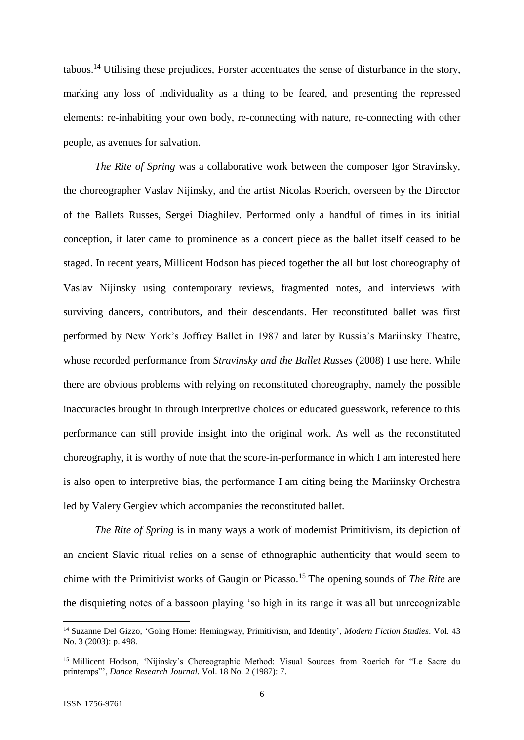taboos.<sup>14</sup> Utilising these prejudices, Forster accentuates the sense of disturbance in the story, marking any loss of individuality as a thing to be feared, and presenting the repressed elements: re-inhabiting your own body, re-connecting with nature, re-connecting with other people, as avenues for salvation.

*The Rite of Spring* was a collaborative work between the composer Igor Stravinsky, the choreographer Vaslav Nijinsky, and the artist Nicolas Roerich, overseen by the Director of the Ballets Russes, Sergei Diaghilev. Performed only a handful of times in its initial conception, it later came to prominence as a concert piece as the ballet itself ceased to be staged. In recent years, Millicent Hodson has pieced together the all but lost choreography of Vaslav Nijinsky using contemporary reviews, fragmented notes, and interviews with surviving dancers, contributors, and their descendants. Her reconstituted ballet was first performed by New York's Joffrey Ballet in 1987 and later by Russia's Mariinsky Theatre, whose recorded performance from *Stravinsky and the Ballet Russes* (2008) I use here. While there are obvious problems with relying on reconstituted choreography, namely the possible inaccuracies brought in through interpretive choices or educated guesswork, reference to this performance can still provide insight into the original work. As well as the reconstituted choreography, it is worthy of note that the score-in-performance in which I am interested here is also open to interpretive bias, the performance I am citing being the Mariinsky Orchestra led by Valery Gergiev which accompanies the reconstituted ballet.

*The Rite of Spring* is in many ways a work of modernist Primitivism, its depiction of an ancient Slavic ritual relies on a sense of ethnographic authenticity that would seem to chime with the Primitivist works of Gaugin or Picasso. <sup>15</sup> The opening sounds of *The Rite* are the disquieting notes of a bassoon playing 'so high in its range it was all but unrecognizable

<sup>14</sup> Suzanne Del Gizzo, 'Going Home: Hemingway, Primitivism, and Identity', *Modern Fiction Studies*. Vol. 43 No. 3 (2003): p. 498.

<sup>&</sup>lt;sup>15</sup> Millicent Hodson, 'Nijinsky's Choreographic Method: Visual Sources from Roerich for "Le Sacre du printemps"', *Dance Research Journal*. Vol. 18 No. 2 (1987): 7.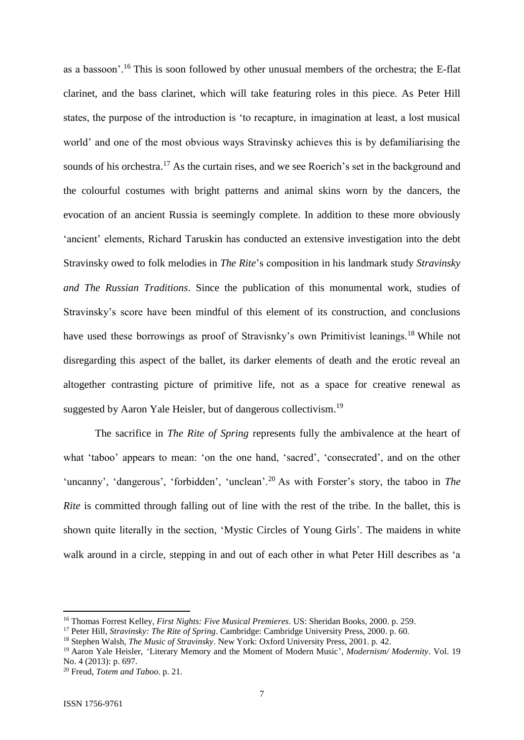as a bassoon'. <sup>16</sup> This is soon followed by other unusual members of the orchestra; the E-flat clarinet, and the bass clarinet, which will take featuring roles in this piece. As Peter Hill states, the purpose of the introduction is 'to recapture, in imagination at least, a lost musical world' and one of the most obvious ways Stravinsky achieves this is by defamiliarising the sounds of his orchestra.<sup>17</sup> As the curtain rises, and we see Roerich's set in the background and the colourful costumes with bright patterns and animal skins worn by the dancers, the evocation of an ancient Russia is seemingly complete. In addition to these more obviously 'ancient' elements, Richard Taruskin has conducted an extensive investigation into the debt Stravinsky owed to folk melodies in *The Rite*'s composition in his landmark study *Stravinsky and The Russian Traditions*. Since the publication of this monumental work, studies of Stravinsky's score have been mindful of this element of its construction, and conclusions have used these borrowings as proof of Stravisnky's own Primitivist leanings.<sup>18</sup> While not disregarding this aspect of the ballet, its darker elements of death and the erotic reveal an altogether contrasting picture of primitive life, not as a space for creative renewal as suggested by Aaron Yale Heisler, but of dangerous collectivism.<sup>19</sup>

The sacrifice in *The Rite of Spring* represents fully the ambivalence at the heart of what 'taboo' appears to mean: 'on the one hand, 'sacred', 'consecrated', and on the other 'uncanny', 'dangerous', 'forbidden', 'unclean'.<sup>20</sup> As with Forster's story, the taboo in *The Rite* is committed through falling out of line with the rest of the tribe. In the ballet, this is shown quite literally in the section, 'Mystic Circles of Young Girls'. The maidens in white walk around in a circle, stepping in and out of each other in what Peter Hill describes as 'a

<sup>16</sup> Thomas Forrest Kelley, *First Nights: Five Musical Premieres*. US: Sheridan Books, 2000. p. 259.

<sup>17</sup> Peter Hill, *Stravinsky: The Rite of Spring*. Cambridge: Cambridge University Press, 2000. p. 60.

<sup>18</sup> Stephen Walsh, *The Music of Stravinsky*. New York: Oxford University Press, 2001. p. 42.

<sup>19</sup> Aaron Yale Heisler, 'Literary Memory and the Moment of Modern Music', *Modernism/ Modernity*. Vol. 19 No. 4 (2013): p. 697.

<sup>20</sup> Freud, *Totem and Taboo*. p. 21.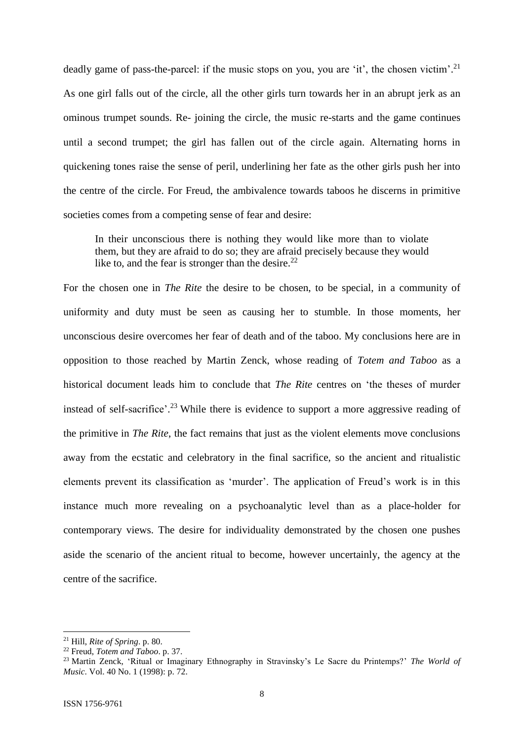deadly game of pass-the-parcel: if the music stops on you, you are 'it', the chosen victim'.<sup>21</sup> As one girl falls out of the circle, all the other girls turn towards her in an abrupt jerk as an ominous trumpet sounds. Re- joining the circle, the music re-starts and the game continues until a second trumpet; the girl has fallen out of the circle again. Alternating horns in quickening tones raise the sense of peril, underlining her fate as the other girls push her into the centre of the circle. For Freud, the ambivalence towards taboos he discerns in primitive societies comes from a competing sense of fear and desire:

In their unconscious there is nothing they would like more than to violate them, but they are afraid to do so; they are afraid precisely because they would like to, and the fear is stronger than the desire.<sup>22</sup>

For the chosen one in *The Rite* the desire to be chosen, to be special, in a community of uniformity and duty must be seen as causing her to stumble. In those moments, her unconscious desire overcomes her fear of death and of the taboo. My conclusions here are in opposition to those reached by Martin Zenck, whose reading of *Totem and Taboo* as a historical document leads him to conclude that *The Rite* centres on 'the theses of murder instead of self-sacrifice'.<sup>23</sup> While there is evidence to support a more aggressive reading of the primitive in *The Rite*, the fact remains that just as the violent elements move conclusions away from the ecstatic and celebratory in the final sacrifice, so the ancient and ritualistic elements prevent its classification as 'murder'. The application of Freud's work is in this instance much more revealing on a psychoanalytic level than as a place-holder for contemporary views. The desire for individuality demonstrated by the chosen one pushes aside the scenario of the ancient ritual to become, however uncertainly, the agency at the centre of the sacrifice.

<sup>21</sup> Hill, *Rite of Spring*. p. 80.

<sup>22</sup> Freud, *Totem and Taboo*. p. 37.

<sup>23</sup> Martin Zenck, 'Ritual or Imaginary Ethnography in Stravinsky's Le Sacre du Printemps?' *The World of Music*. Vol. 40 No. 1 (1998): p. 72.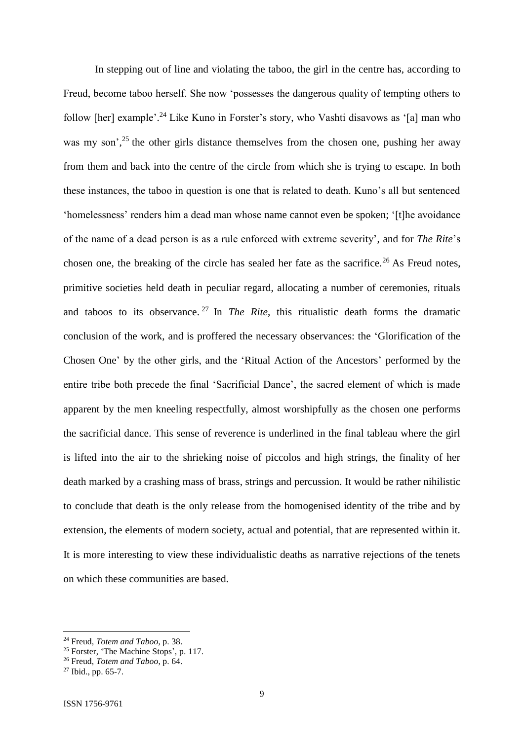In stepping out of line and violating the taboo, the girl in the centre has, according to Freud, become taboo herself. She now 'possesses the dangerous quality of tempting others to follow [her] example'.<sup>24</sup> Like Kuno in Forster's story, who Vashti disavows as '[a] man who was my son',<sup>25</sup> the other girls distance themselves from the chosen one, pushing her away from them and back into the centre of the circle from which she is trying to escape. In both these instances, the taboo in question is one that is related to death. Kuno's all but sentenced 'homelessness' renders him a dead man whose name cannot even be spoken; '[t]he avoidance of the name of a dead person is as a rule enforced with extreme severity', and for *The Rite*'s chosen one, the breaking of the circle has sealed her fate as the sacrifice.<sup>26</sup> As Freud notes, primitive societies held death in peculiar regard, allocating a number of ceremonies, rituals and taboos to its observance. <sup>27</sup> In *The Rite*, this ritualistic death forms the dramatic conclusion of the work, and is proffered the necessary observances: the 'Glorification of the Chosen One' by the other girls, and the 'Ritual Action of the Ancestors' performed by the entire tribe both precede the final 'Sacrificial Dance', the sacred element of which is made apparent by the men kneeling respectfully, almost worshipfully as the chosen one performs the sacrificial dance. This sense of reverence is underlined in the final tableau where the girl is lifted into the air to the shrieking noise of piccolos and high strings, the finality of her death marked by a crashing mass of brass, strings and percussion. It would be rather nihilistic to conclude that death is the only release from the homogenised identity of the tribe and by extension, the elements of modern society, actual and potential, that are represented within it. It is more interesting to view these individualistic deaths as narrative rejections of the tenets on which these communities are based.

<sup>24</sup> Freud*, Totem and Taboo*, p. 38.

<sup>&</sup>lt;sup>25</sup> Forster, 'The Machine Stops', p. 117.

<sup>26</sup> Freud, *Totem and Taboo*, p. 64.

 $27$  Ibid., pp. 65-7.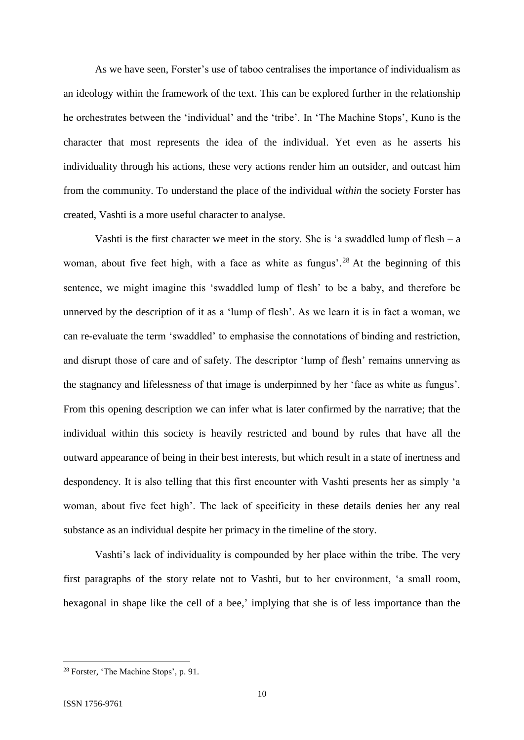As we have seen, Forster's use of taboo centralises the importance of individualism as an ideology within the framework of the text. This can be explored further in the relationship he orchestrates between the 'individual' and the 'tribe'. In 'The Machine Stops', Kuno is the character that most represents the idea of the individual. Yet even as he asserts his individuality through his actions, these very actions render him an outsider, and outcast him from the community. To understand the place of the individual *within* the society Forster has created, Vashti is a more useful character to analyse.

Vashti is the first character we meet in the story. She is 'a swaddled lump of flesh  $- a$ woman, about five feet high, with a face as white as fungus'.<sup>28</sup> At the beginning of this sentence, we might imagine this 'swaddled lump of flesh' to be a baby, and therefore be unnerved by the description of it as a 'lump of flesh'. As we learn it is in fact a woman, we can re-evaluate the term 'swaddled' to emphasise the connotations of binding and restriction, and disrupt those of care and of safety. The descriptor 'lump of flesh' remains unnerving as the stagnancy and lifelessness of that image is underpinned by her 'face as white as fungus'. From this opening description we can infer what is later confirmed by the narrative; that the individual within this society is heavily restricted and bound by rules that have all the outward appearance of being in their best interests, but which result in a state of inertness and despondency. It is also telling that this first encounter with Vashti presents her as simply 'a woman, about five feet high'. The lack of specificity in these details denies her any real substance as an individual despite her primacy in the timeline of the story.

Vashti's lack of individuality is compounded by her place within the tribe. The very first paragraphs of the story relate not to Vashti, but to her environment, 'a small room, hexagonal in shape like the cell of a bee,' implying that she is of less importance than the

<sup>28</sup> Forster, 'The Machine Stops', p. 91.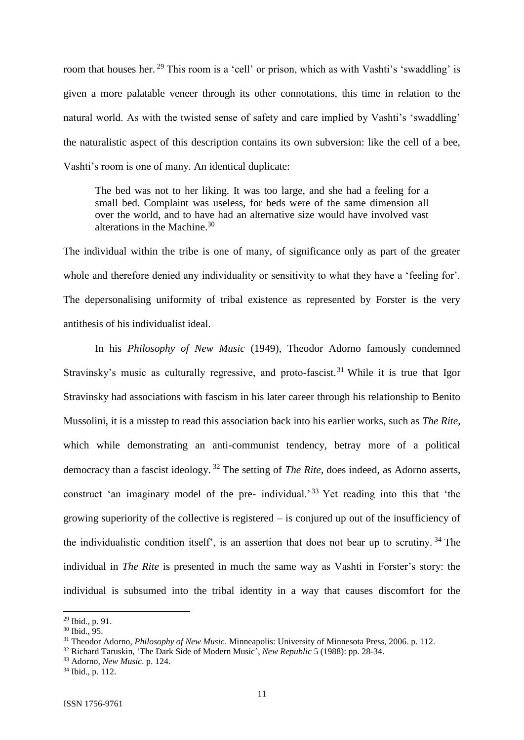room that houses her.<sup>29</sup> This room is a 'cell' or prison, which as with Vashti's 'swaddling' is given a more palatable veneer through its other connotations, this time in relation to the natural world. As with the twisted sense of safety and care implied by Vashti's 'swaddling' the naturalistic aspect of this description contains its own subversion: like the cell of a bee, Vashti's room is one of many. An identical duplicate:

The bed was not to her liking. It was too large, and she had a feeling for a small bed. Complaint was useless, for beds were of the same dimension all over the world, and to have had an alternative size would have involved vast alterations in the Machine. 30

The individual within the tribe is one of many, of significance only as part of the greater whole and therefore denied any individuality or sensitivity to what they have a 'feeling for'. The depersonalising uniformity of tribal existence as represented by Forster is the very antithesis of his individualist ideal.

In his *Philosophy of New Music* (1949), Theodor Adorno famously condemned Stravinsky's music as culturally regressive, and proto-fascist.<sup>31</sup> While it is true that Igor Stravinsky had associations with fascism in his later career through his relationship to Benito Mussolini, it is a misstep to read this association back into his earlier works, such as *The Rite*, which while demonstrating an anti-communist tendency, betray more of a political democracy than a fascist ideology. <sup>32</sup> The setting of *The Rite*, does indeed, as Adorno asserts, construct 'an imaginary model of the pre- individual.'<sup>33</sup> Yet reading into this that 'the growing superiority of the collective is registered – is conjured up out of the insufficiency of the individualistic condition itself', is an assertion that does not bear up to scrutiny. <sup>34</sup> The individual in *The Rite* is presented in much the same way as Vashti in Forster's story: the individual is subsumed into the tribal identity in a way that causes discomfort for the

<sup>&</sup>lt;sup>29</sup> Ibid., p. 91.

<sup>30</sup> Ibid., 95.

<sup>31</sup> Theodor Adorno, *Philosophy of New Music*. Minneapolis: University of Minnesota Press, 2006. p. 112.

<sup>32</sup> Richard Taruskin, 'The Dark Side of Modern Music', *New Republic* 5 (1988): pp. 28-34.

<sup>33</sup> Adorno, *New Music*. p. 124.

<sup>34</sup> Ibid., p. 112.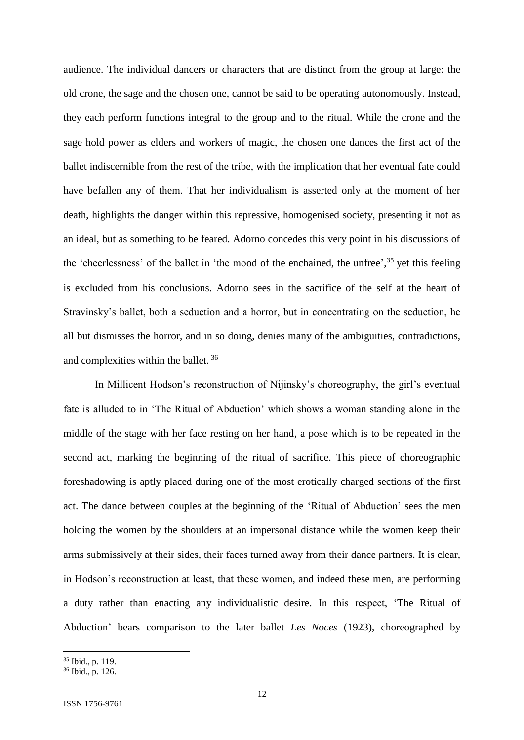audience. The individual dancers or characters that are distinct from the group at large: the old crone, the sage and the chosen one, cannot be said to be operating autonomously. Instead, they each perform functions integral to the group and to the ritual. While the crone and the sage hold power as elders and workers of magic, the chosen one dances the first act of the ballet indiscernible from the rest of the tribe, with the implication that her eventual fate could have befallen any of them. That her individualism is asserted only at the moment of her death, highlights the danger within this repressive, homogenised society, presenting it not as an ideal, but as something to be feared. Adorno concedes this very point in his discussions of the 'cheerlessness' of the ballet in 'the mood of the enchained, the unfree', <sup>35</sup> yet this feeling is excluded from his conclusions. Adorno sees in the sacrifice of the self at the heart of Stravinsky's ballet, both a seduction and a horror, but in concentrating on the seduction, he all but dismisses the horror, and in so doing, denies many of the ambiguities, contradictions, and complexities within the ballet. <sup>36</sup>

In Millicent Hodson's reconstruction of Nijinsky's choreography, the girl's eventual fate is alluded to in 'The Ritual of Abduction' which shows a woman standing alone in the middle of the stage with her face resting on her hand, a pose which is to be repeated in the second act, marking the beginning of the ritual of sacrifice. This piece of choreographic foreshadowing is aptly placed during one of the most erotically charged sections of the first act. The dance between couples at the beginning of the 'Ritual of Abduction' sees the men holding the women by the shoulders at an impersonal distance while the women keep their arms submissively at their sides, their faces turned away from their dance partners. It is clear, in Hodson's reconstruction at least, that these women, and indeed these men, are performing a duty rather than enacting any individualistic desire. In this respect, 'The Ritual of Abduction' bears comparison to the later ballet *Les Noces* (1923), choreographed by

 $35$  Ibid., p. 119.

<sup>36</sup> Ibid., p. 126.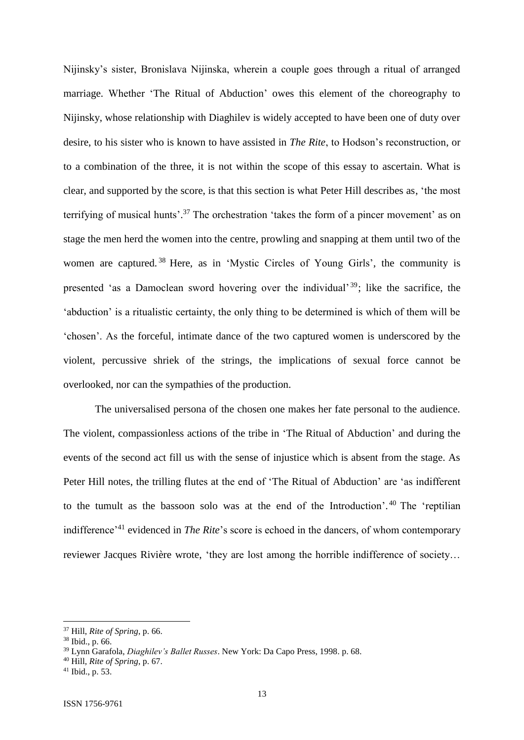Nijinsky's sister, Bronislava Nijinska, wherein a couple goes through a ritual of arranged marriage. Whether 'The Ritual of Abduction' owes this element of the choreography to Nijinsky, whose relationship with Diaghilev is widely accepted to have been one of duty over desire, to his sister who is known to have assisted in *The Rite*, to Hodson's reconstruction, or to a combination of the three, it is not within the scope of this essay to ascertain. What is clear, and supported by the score, is that this section is what Peter Hill describes as, 'the most terrifying of musical hunts'.<sup>37</sup> The orchestration 'takes the form of a pincer movement' as on stage the men herd the women into the centre, prowling and snapping at them until two of the women are captured.<sup>38</sup> Here, as in 'Mystic Circles of Young Girls', the community is presented 'as a Damoclean sword hovering over the individual'  $39$ ; like the sacrifice, the 'abduction' is a ritualistic certainty, the only thing to be determined is which of them will be 'chosen'. As the forceful, intimate dance of the two captured women is underscored by the violent, percussive shriek of the strings, the implications of sexual force cannot be overlooked, nor can the sympathies of the production.

The universalised persona of the chosen one makes her fate personal to the audience. The violent, compassionless actions of the tribe in 'The Ritual of Abduction' and during the events of the second act fill us with the sense of injustice which is absent from the stage. As Peter Hill notes, the trilling flutes at the end of 'The Ritual of Abduction' are 'as indifferent to the tumult as the bassoon solo was at the end of the Introduction'. <sup>40</sup> The 'reptilian indifference'<sup>41</sup> evidenced in *The Rite*'s score is echoed in the dancers, of whom contemporary reviewer Jacques Rivière wrote, 'they are lost among the horrible indifference of society…

<sup>37</sup> Hill, *Rite of Spring*, p. 66.

<sup>38</sup> Ibid., p. 66.

<sup>39</sup> Lynn Garafola, *Diaghilev's Ballet Russes*. New York: Da Capo Press, 1998. p. 68.

<sup>40</sup> Hill*, Rite of Spring*, p. 67.

 $41$  Ibid., p. 53.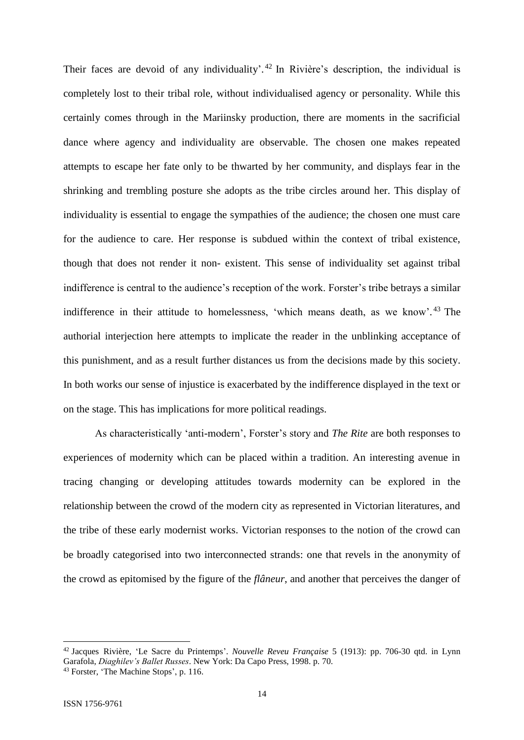Their faces are devoid of any individuality'.<sup>42</sup> In Rivière's description, the individual is completely lost to their tribal role, without individualised agency or personality. While this certainly comes through in the Mariinsky production, there are moments in the sacrificial dance where agency and individuality are observable. The chosen one makes repeated attempts to escape her fate only to be thwarted by her community, and displays fear in the shrinking and trembling posture she adopts as the tribe circles around her. This display of individuality is essential to engage the sympathies of the audience; the chosen one must care for the audience to care. Her response is subdued within the context of tribal existence, though that does not render it non- existent. This sense of individuality set against tribal indifference is central to the audience's reception of the work. Forster's tribe betrays a similar indifference in their attitude to homelessness, 'which means death, as we know'. <sup>43</sup> The authorial interjection here attempts to implicate the reader in the unblinking acceptance of this punishment, and as a result further distances us from the decisions made by this society. In both works our sense of injustice is exacerbated by the indifference displayed in the text or on the stage. This has implications for more political readings.

As characteristically 'anti-modern', Forster's story and *The Rite* are both responses to experiences of modernity which can be placed within a tradition. An interesting avenue in tracing changing or developing attitudes towards modernity can be explored in the relationship between the crowd of the modern city as represented in Victorian literatures, and the tribe of these early modernist works. Victorian responses to the notion of the crowd can be broadly categorised into two interconnected strands: one that revels in the anonymity of the crowd as epitomised by the figure of the *flâneur*, and another that perceives the danger of

<sup>42</sup> Jacques Rivière, 'Le Sacre du Printemps'. *Nouvelle Reveu Française* 5 (1913): pp. 706-30 qtd. in Lynn Garafola, *Diaghilev's Ballet Russes*. New York: Da Capo Press, 1998. p. 70.

<sup>43</sup> Forster, 'The Machine Stops', p. 116.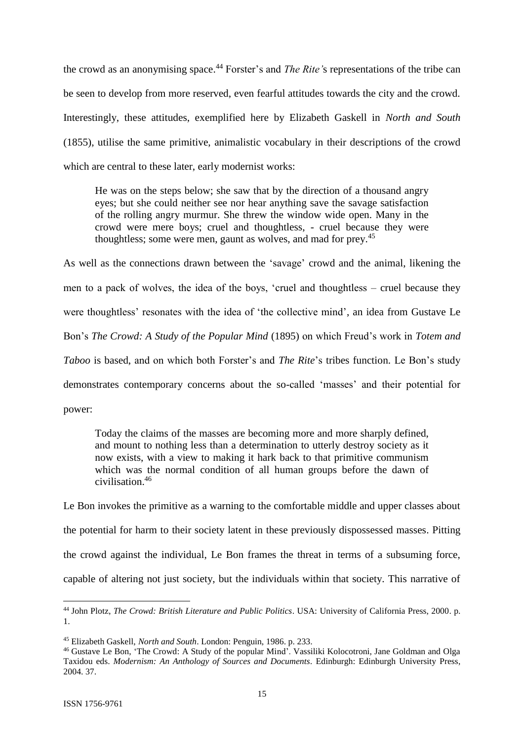the crowd as an anonymising space. <sup>44</sup> Forster's and *The Rite'*s representations of the tribe can be seen to develop from more reserved, even fearful attitudes towards the city and the crowd. Interestingly, these attitudes, exemplified here by Elizabeth Gaskell in *North and South* (1855), utilise the same primitive, animalistic vocabulary in their descriptions of the crowd which are central to these later, early modernist works:

He was on the steps below; she saw that by the direction of a thousand angry eyes; but she could neither see nor hear anything save the savage satisfaction of the rolling angry murmur. She threw the window wide open. Many in the crowd were mere boys; cruel and thoughtless, - cruel because they were thoughtless; some were men, gaunt as wolves, and mad for prey.<sup>45</sup>

As well as the connections drawn between the 'savage' crowd and the animal, likening the men to a pack of wolves, the idea of the boys, 'cruel and thoughtless – cruel because they were thoughtless' resonates with the idea of 'the collective mind', an idea from Gustave Le Bon's *The Crowd: A Study of the Popular Mind* (1895) on which Freud's work in *Totem and Taboo* is based, and on which both Forster's and *The Rite*'s tribes function. Le Bon's study demonstrates contemporary concerns about the so-called 'masses' and their potential for power:

Today the claims of the masses are becoming more and more sharply defined, and mount to nothing less than a determination to utterly destroy society as it now exists, with a view to making it hark back to that primitive communism which was the normal condition of all human groups before the dawn of civilisation.<sup>46</sup>

Le Bon invokes the primitive as a warning to the comfortable middle and upper classes about the potential for harm to their society latent in these previously dispossessed masses. Pitting the crowd against the individual, Le Bon frames the threat in terms of a subsuming force, capable of altering not just society, but the individuals within that society. This narrative of

**<sup>.</sup>** <sup>44</sup> John Plotz, *The Crowd: British Literature and Public Politics*. USA: University of California Press, 2000. p. 1.

<sup>45</sup> Elizabeth Gaskell, *North and South*. London: Penguin, 1986. p. 233.

<sup>46</sup> Gustave Le Bon, 'The Crowd: A Study of the popular Mind'. Vassiliki Kolocotroni, Jane Goldman and Olga Taxidou eds. *Modernism: An Anthology of Sources and Documents.* Edinburgh: Edinburgh University Press, 2004. 37.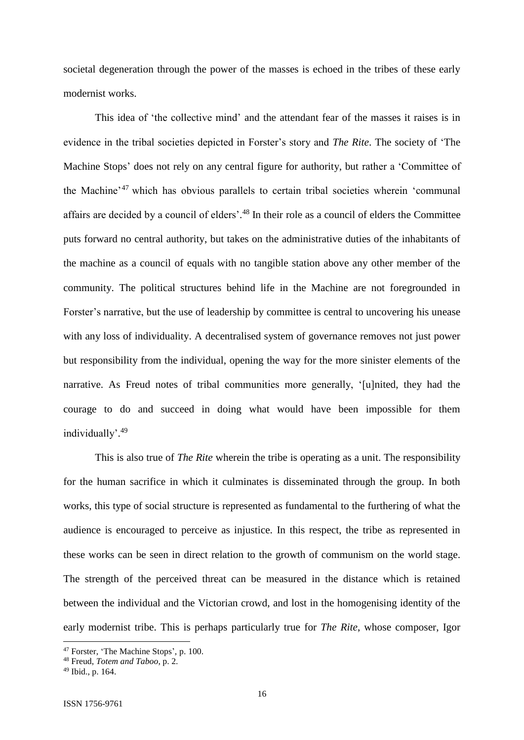societal degeneration through the power of the masses is echoed in the tribes of these early modernist works.

This idea of 'the collective mind' and the attendant fear of the masses it raises is in evidence in the tribal societies depicted in Forster's story and *The Rite*. The society of 'The Machine Stops' does not rely on any central figure for authority, but rather a 'Committee of the Machine'<sup>47</sup> which has obvious parallels to certain tribal societies wherein 'communal affairs are decided by a council of elders'.<sup>48</sup> In their role as a council of elders the Committee puts forward no central authority, but takes on the administrative duties of the inhabitants of the machine as a council of equals with no tangible station above any other member of the community. The political structures behind life in the Machine are not foregrounded in Forster's narrative, but the use of leadership by committee is central to uncovering his unease with any loss of individuality. A decentralised system of governance removes not just power but responsibility from the individual, opening the way for the more sinister elements of the narrative. As Freud notes of tribal communities more generally, '[u]nited, they had the courage to do and succeed in doing what would have been impossible for them individually'.<sup>49</sup>

This is also true of *The Rite* wherein the tribe is operating as a unit. The responsibility for the human sacrifice in which it culminates is disseminated through the group. In both works, this type of social structure is represented as fundamental to the furthering of what the audience is encouraged to perceive as injustice. In this respect, the tribe as represented in these works can be seen in direct relation to the growth of communism on the world stage. The strength of the perceived threat can be measured in the distance which is retained between the individual and the Victorian crowd, and lost in the homogenising identity of the early modernist tribe. This is perhaps particularly true for *The Rite*, whose composer, Igor

<sup>47</sup> Forster, 'The Machine Stops', p. 100.

<sup>48</sup> Freud, *Totem and Taboo*, p. 2.

<sup>49</sup> Ibid., p. 164.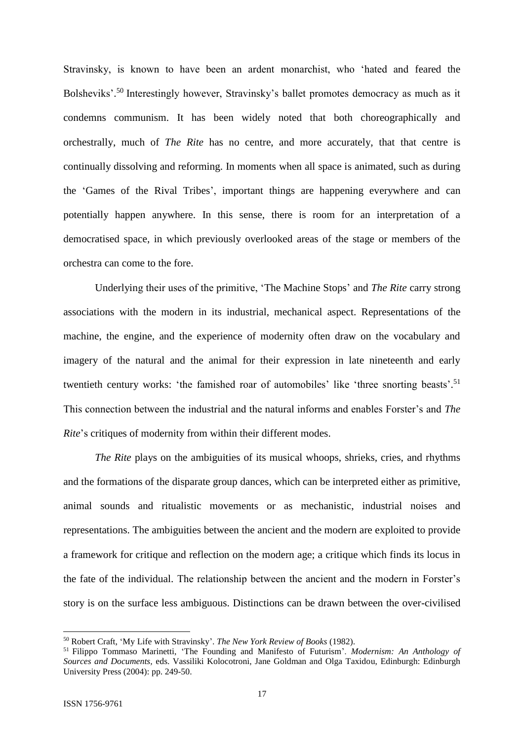Stravinsky, is known to have been an ardent monarchist, who 'hated and feared the Bolsheviks'.<sup>50</sup> Interestingly however, Stravinsky's ballet promotes democracy as much as it condemns communism. It has been widely noted that both choreographically and orchestrally, much of *The Rite* has no centre, and more accurately, that that centre is continually dissolving and reforming. In moments when all space is animated, such as during the 'Games of the Rival Tribes', important things are happening everywhere and can potentially happen anywhere. In this sense, there is room for an interpretation of a democratised space, in which previously overlooked areas of the stage or members of the orchestra can come to the fore.

Underlying their uses of the primitive, 'The Machine Stops' and *The Rite* carry strong associations with the modern in its industrial, mechanical aspect. Representations of the machine, the engine, and the experience of modernity often draw on the vocabulary and imagery of the natural and the animal for their expression in late nineteenth and early twentieth century works: 'the famished roar of automobiles' like 'three snorting beasts'.<sup>51</sup> This connection between the industrial and the natural informs and enables Forster's and *The Rite*'s critiques of modernity from within their different modes.

*The Rite* plays on the ambiguities of its musical whoops, shrieks, cries, and rhythms and the formations of the disparate group dances, which can be interpreted either as primitive, animal sounds and ritualistic movements or as mechanistic, industrial noises and representations. The ambiguities between the ancient and the modern are exploited to provide a framework for critique and reflection on the modern age; a critique which finds its locus in the fate of the individual. The relationship between the ancient and the modern in Forster's story is on the surface less ambiguous. Distinctions can be drawn between the over-civilised

<sup>50</sup> Robert Craft, 'My Life with Stravinsky'. *The New York Review of Books* (1982).

<sup>51</sup> Filippo Tommaso Marinetti, 'The Founding and Manifesto of Futurism'. *Modernism: An Anthology of Sources and Documents,* eds. Vassiliki Kolocotroni, Jane Goldman and Olga Taxidou, Edinburgh: Edinburgh University Press (2004): pp. 249-50.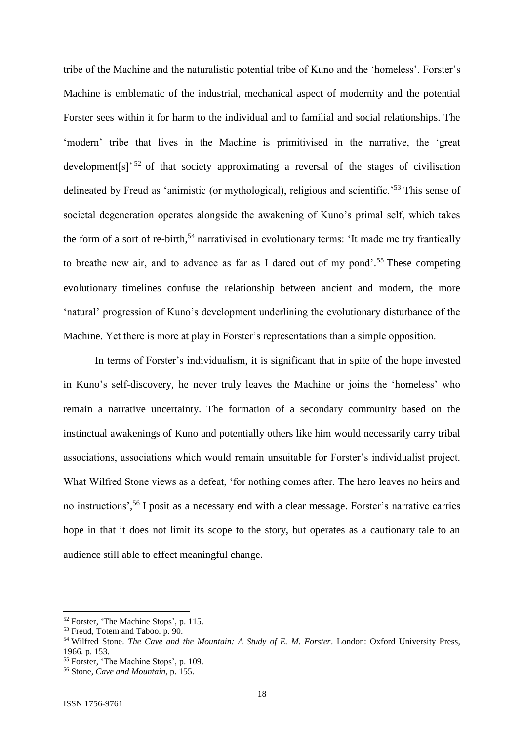tribe of the Machine and the naturalistic potential tribe of Kuno and the 'homeless'. Forster's Machine is emblematic of the industrial, mechanical aspect of modernity and the potential Forster sees within it for harm to the individual and to familial and social relationships. The 'modern' tribe that lives in the Machine is primitivised in the narrative, the 'great development[s]<sup>' 52</sup> of that society approximating a reversal of the stages of civilisation delineated by Freud as 'animistic (or mythological), religious and scientific.<sup>553</sup> This sense of societal degeneration operates alongside the awakening of Kuno's primal self, which takes the form of a sort of re-birth,<sup>54</sup> narrativised in evolutionary terms: 'It made me try frantically to breathe new air, and to advance as far as I dared out of my pond'. <sup>55</sup> These competing evolutionary timelines confuse the relationship between ancient and modern, the more 'natural' progression of Kuno's development underlining the evolutionary disturbance of the Machine. Yet there is more at play in Forster's representations than a simple opposition.

In terms of Forster's individualism, it is significant that in spite of the hope invested in Kuno's self-discovery, he never truly leaves the Machine or joins the 'homeless' who remain a narrative uncertainty. The formation of a secondary community based on the instinctual awakenings of Kuno and potentially others like him would necessarily carry tribal associations, associations which would remain unsuitable for Forster's individualist project. What Wilfred Stone views as a defeat, 'for nothing comes after. The hero leaves no heirs and no instructions', <sup>56</sup> I posit as a necessary end with a clear message. Forster's narrative carries hope in that it does not limit its scope to the story, but operates as a cautionary tale to an audience still able to effect meaningful change.

<sup>52</sup> Forster, 'The Machine Stops', p. 115.

<sup>53</sup> Freud, Totem and Taboo. p. 90.

<sup>54</sup> Wilfred Stone. *The Cave and the Mountain: A Study of E. M. Forster*. London: Oxford University Press, 1966. p. 153.

<sup>&</sup>lt;sup>55</sup> Forster, 'The Machine Stops', p. 109.

<sup>56</sup> Stone, *Cave and Mountain*, p. 155.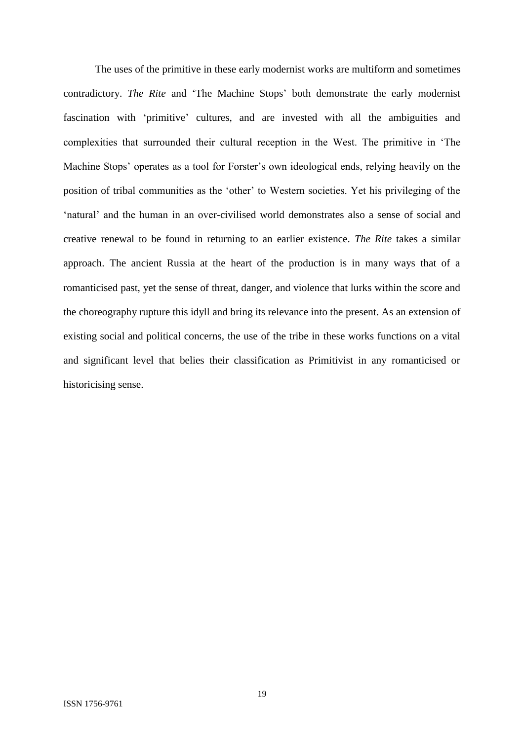The uses of the primitive in these early modernist works are multiform and sometimes contradictory. *The Rite* and 'The Machine Stops' both demonstrate the early modernist fascination with 'primitive' cultures, and are invested with all the ambiguities and complexities that surrounded their cultural reception in the West. The primitive in 'The Machine Stops' operates as a tool for Forster's own ideological ends, relying heavily on the position of tribal communities as the 'other' to Western societies. Yet his privileging of the 'natural' and the human in an over-civilised world demonstrates also a sense of social and creative renewal to be found in returning to an earlier existence. *The Rite* takes a similar approach. The ancient Russia at the heart of the production is in many ways that of a romanticised past, yet the sense of threat, danger, and violence that lurks within the score and the choreography rupture this idyll and bring its relevance into the present. As an extension of existing social and political concerns, the use of the tribe in these works functions on a vital and significant level that belies their classification as Primitivist in any romanticised or historicising sense.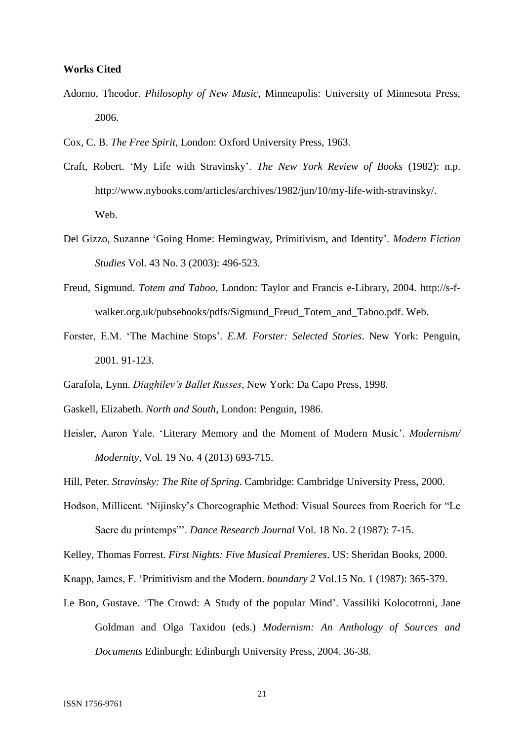#### **Works Cited**

- Adorno, Theodor. *Philosophy of New Music*, Minneapolis: University of Minnesota Press, 2006.
- Cox, C. B. *The Free Spirit*, London: Oxford University Press, 1963.
- Craft, Robert. 'My Life with Stravinsky'. *The New York Review of Books* (1982): n.p. http://www.nybooks.com/articles/archives/1982/jun/10/my-life-with-stravinsky/. Web.
- Del Gizzo, Suzanne 'Going Home: Hemingway, Primitivism, and Identity'. *Modern Fiction Studies* Vol. 43 No. 3 (2003): 496-523.
- Freud, Sigmund. *Totem and Taboo,* London: Taylor and Francis e-Library, 2004. http://s-fwalker.org.uk/pubsebooks/pdfs/Sigmund\_Freud\_Totem\_and\_Taboo.pdf. Web.
- Forster, E.M. 'The Machine Stops'. *E.M. Forster: Selected Stories*. New York: Penguin, 2001. 91-123.
- Garafola, Lynn. *Diaghilev's Ballet Russes,* New York: Da Capo Press, 1998.
- Gaskell, Elizabeth. *North and South*, London: Penguin, 1986.
- Heisler, Aaron Yale. 'Literary Memory and the Moment of Modern Music'. *Modernism/ Modernity*, Vol. 19 No. 4 (2013) 693-715.

Hill, Peter. *Stravinsky: The Rite of Spring*. Cambridge: Cambridge University Press, 2000.

Hodson, Millicent. 'Nijinsky's Choreographic Method: Visual Sources from Roerich for "Le Sacre du printemps"'. *Dance Research Journal* Vol. 18 No. 2 (1987): 7-15.

Kelley, Thomas Forrest. *First Nights: Five Musical Premieres*. US: Sheridan Books, 2000.

- Knapp, James, F. 'Primitivism and the Modern. *boundary 2* Vol.15 No. 1 (1987): 365-379.
- Le Bon, Gustave. 'The Crowd: A Study of the popular Mind'. Vassiliki Kolocotroni, Jane Goldman and Olga Taxidou (eds.) *Modernism: An Anthology of Sources and Documents* Edinburgh: Edinburgh University Press, 2004. 36-38.